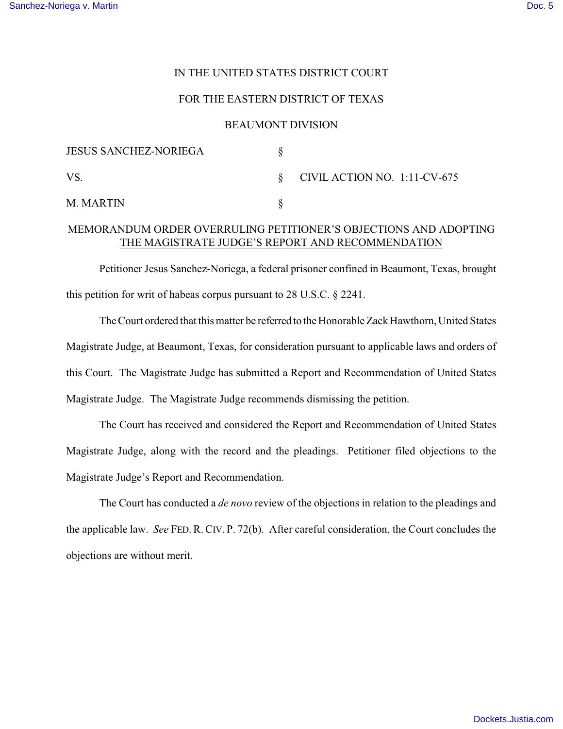## IN THE UNITED STATES DISTRICT COURT

### FOR THE EASTERN DISTRICT OF TEXAS

#### BEAUMONT DIVISION

| <b>JESUS SANCHEZ-NORIEGA</b> |                                   |
|------------------------------|-----------------------------------|
| VS.                          | $\S$ CIVIL ACTION NO. 1:11-CV-675 |
| M. MARTIN                    |                                   |

# MEMORANDUM ORDER OVERRULING PETITIONER'S OBJECTIONS AND ADOPTING THE MAGISTRATE JUDGE'S REPORT AND RECOMMENDATION

Petitioner Jesus Sanchez-Noriega, a federal prisoner confined in Beaumont, Texas, brought this petition for writ of habeas corpus pursuant to 28 U.S.C. § 2241.

The Court ordered that this matter be referred to the Honorable Zack Hawthorn, United States Magistrate Judge, at Beaumont, Texas, for consideration pursuant to applicable laws and orders of this Court. The Magistrate Judge has submitted a Report and Recommendation of United States Magistrate Judge. The Magistrate Judge recommends dismissing the petition.

The Court has received and considered the Report and Recommendation of United States Magistrate Judge, along with the record and the pleadings. Petitioner filed objections to the Magistrate Judge's Report and Recommendation.

The Court has conducted a *de novo* review of the objections in relation to the pleadings and the applicable law. *See* FED. R. CIV. P. 72(b). After careful consideration, the Court concludes the objections are without merit.